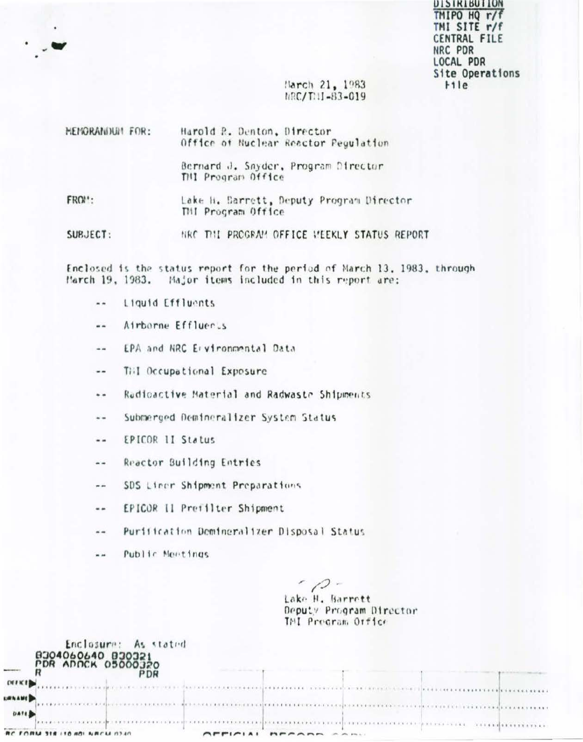**DISIRIBUILUM** TMIPO HQ r/f TMI SITE r/f CENTRAL FILE NRC PDR LOCAL PDR Site Operations  $H1e$ 

## March 21, 1983  $hRC/T$ :  $I-83-019$

| <b>HENORANDUM FOR:</b> | Harold R. Denton, Director<br>Office of Nuclear Reactor Pegulation |
|------------------------|--------------------------------------------------------------------|
|                        | Bernard J. Snyder, Program Director<br>THI Program Office          |
| FROM:                  | Lake H. Barrett, Deputy Program Director<br>TMI Program Office     |
| SUBJECT:               | NRC THI PROGRAM OFFICE VEEKLY STATUS REPORT                        |

Enclosed is the status report for the period of March 13, 1983, through March 19, 1983. Major items included in this report are:

- Liquid Effluents  $\overline{a}$
- Airborne Effluers  $-1$
- EPA and NRC Ervironmental Data  $\blacksquare$
- Till Occupational Exposure --
- Radioactive Material and Radwaste Shipments  $\ddot{\phantom{a}}$
- Submerged Demineralizer System Status  $\sim$   $\sim$
- EPICOR 11 Status  $- -$
- Reactor Building Entries  $\cdots$
- SDS Liner Shipment Preparations  $-$
- EPICOR Il Prefilter Shipment  $\cdots$
- Puritication Demineralizer Disposal Status  $\sim$   $\sim$
- Public Meetings  $=$   $=$

Enclosure: As stated

 $-12-$ Lake H. Barrett Deputy Program Director TMI Procram Orfice

| <b>MARKET</b>   | B304060640 B30321<br><b>PDR ADOCK 05000320</b><br>DR |                                                                                 |             |                                                                                                                |  |
|-----------------|------------------------------------------------------|---------------------------------------------------------------------------------|-------------|----------------------------------------------------------------------------------------------------------------|--|
| <b>CALICIAN</b> | <b>FAARD VANDALES AND ALLEN AND AND PRESSURE</b>     |                                                                                 |             | ha de comercio denomina cristia de seguir con distribuir a comercio de comercio                                |  |
| <b>URNAME</b>   |                                                      |                                                                                 |             | a conservazione del contra con la compana del contra colegia del contra con la contra del contra del contra de |  |
| <b>DATE</b>     |                                                      |                                                                                 |             |                                                                                                                |  |
|                 | RC FORM 318 (10 80) NRCM 0340                        | $\bigcap$ $\bigcap$ $\bigcap$ $\bigcap$ $\bigcap$ $\bigcap$ $\bigcap$ $\bigcap$ | MPAAMA AAMI | an announced an ancient and process contact process and an interna-                                            |  |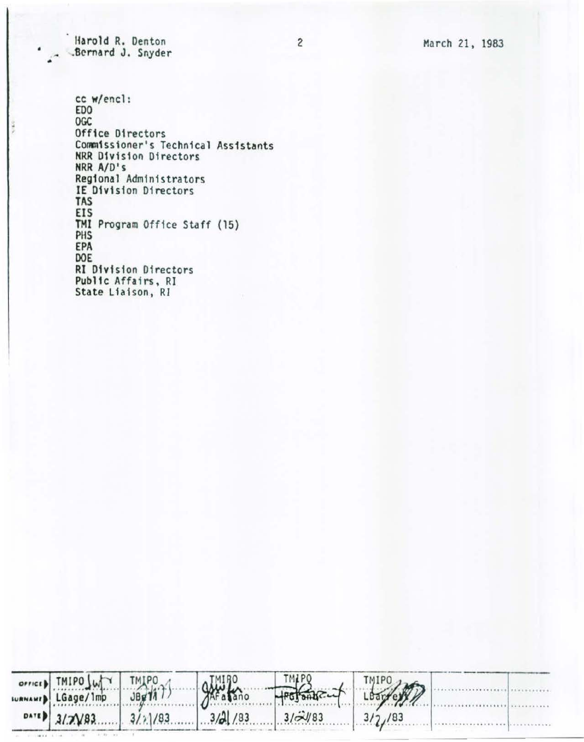March 21, 1983

Harold R. Denton .Bernard J. Snyder

cc w/encl: ED<sub>0</sub> OGC Office Directors Commissioner's Technical Assistants<br>NRR Division Directors NRR A/D's Regional Administrators<br>IE Division Directors **TAS** EIS TMI Program Office Staff (15) PHS EPA DOE **RI Division Directors** Public Affairs, RI State Liaison, RI

| orner) TMIPO WWW TMIPO |                          | $Q_{\text{Area}}^{11180}$                 | TMPO TMPO |        |  |
|------------------------|--------------------------|-------------------------------------------|-----------|--------|--|
|                        | WANAMED LGage/1mp JBg717 |                                           |           |        |  |
|                        |                          | $0.11$ 3/2/83 $3/1/83$ $3/2$ /83 $3/3/83$ |           | 3/2/83 |  |

 $\overline{c}$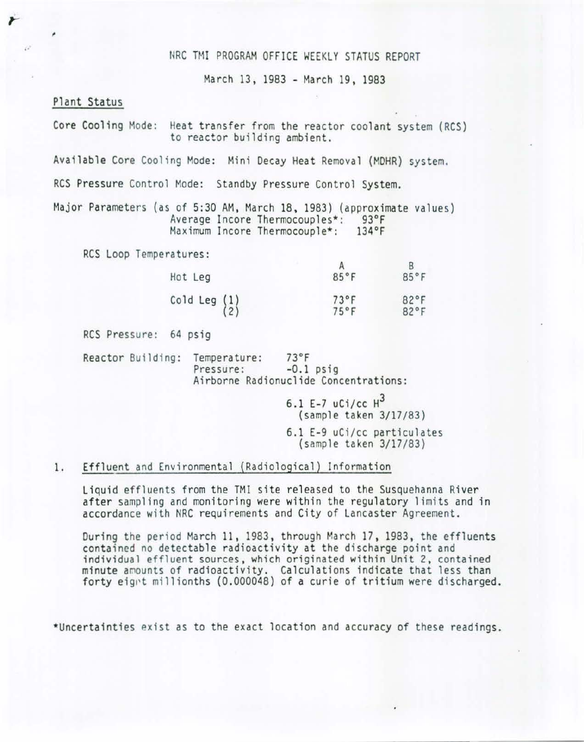### NRC TMI PROGRAM OFFICE WEEKLY STATUS REPORT

March 13, 1983 - March 19 , 1983

#### Plant Status

 $\mathbf{r}$ 

Core Cooling Mode: Heat transfer from the reactor coolant system (RCS) to reactor building ambient.

Available Core Cooling Mode: Mini Decay Heat Removal (MOHR) system.

RCS Pressure Control Mode: Standby Pressure Control System.

Major Parameters (as of 5:30 AM, March 18 , 1983) (approximate values) Average Incore Thermocouples\*: 93°F<br>Maximum Incore Thermocouple\*: 134°F Maximum Incore Thermocouple\*:

RCS Loop Temperatures:

|                                                 |                | В    |
|-------------------------------------------------|----------------|------|
| Hot Leg                                         | 85°F           | 85°F |
| Cold Leg $\begin{pmatrix} 1 \\ 2 \end{pmatrix}$ | $73^{\circ}$ F | 82°F |
|                                                 | $75^{\circ}$ F | 82°F |

RCS Pressure: 64 psig

Reactor Building: Temperature: 73°F<br>Pressure: -0.1 psig Airborne Radionuclide Concentrations:

> 6.1 E-7  $uCi/cc$   $H^3$ (sample taken 3/17/83) 6.1 E-9 uCi/cc particulates (sample taken 3/17/83)

#### 1. Effluent and Environmental (Radiological) Information

Liquid effluents from the TMI site released to the Susquehanna River after sampling and monitoring were within the regulatory limits and in accordance with NRC requirements and City of Lancaster Agreement.

During the period March 11, 1983, through March 17, 1983, the effluents contained no detectable radioactivity at the discharge point and individual effluent sources, which originated within Unit 2, contained minute amounts of radioactivity. Calculations indicate that less than forty eignt millionths (0.000048) of a curie of tritium were discharged.

\*Uncertainties exist as to the exact location and accuracy of these readings.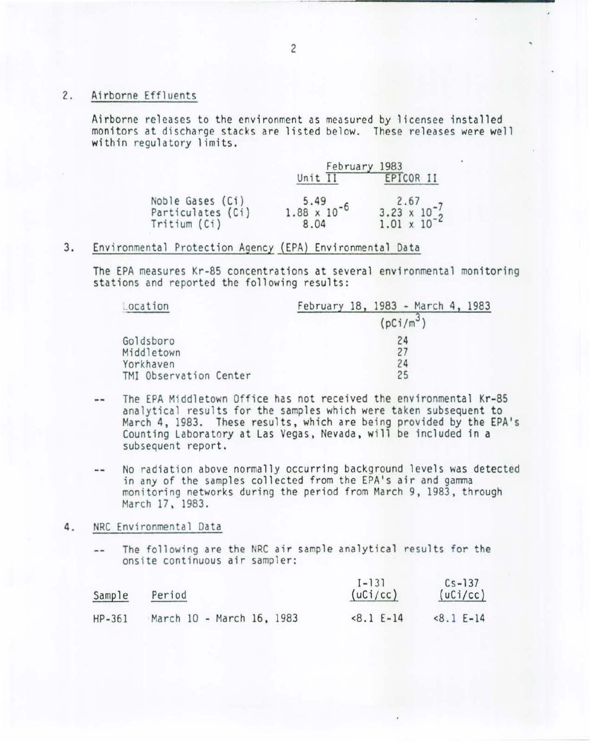2. Airborne Effluents

Airborne releases to the environment as measured by licensee installed monitors at discharge stacks are listed below. These releases were well within regulatory limits.

|                                   | February 1983                            |                                                              |  |
|-----------------------------------|------------------------------------------|--------------------------------------------------------------|--|
|                                   | Unit II                                  | EPICOR II                                                    |  |
| Noble Gases (Ci)                  | $5.49$<br>1.88 $\times$ 10 <sup>-6</sup> |                                                              |  |
| Particulates (Ci)<br>Tritium (Ci) | 8.04                                     | $2.67$<br>3.23 x 10 <sup>-7</sup><br>1.01 x 10 <sup>-2</sup> |  |

## 3. Environmental Protection Agency (EPA) Environmental Data

The EPA measures Kr-85 concentrations at several environmental monitoring stations and reported the following results:

| Location               | February 18, 1983 - March 4, 1983 |
|------------------------|-----------------------------------|
|                        | $(pCi/m^3)$                       |
| Goldsboro              | 24                                |
| Middletown             | 27                                |
| Yorkhaven              | 24                                |
| TMI Observation Center | 25                                |

- The EPA Middletown Office has not received the environmental Kr-85  $\frac{1}{2}$ analytical results for the samples which were taken subsequent to March 4, 1983. These results, which are being provided by the EPA's Counting Laboratory at Las Vegas, Nevada , will be included in a subsequent report .
- No radiation above normally occurring background levels was detected  $\sim$   $\sim$ in any of the samples collected from the EPA's air and gamma monitoring networks during the period from March 9, 1983, through March 17, 1983.

## 4. NRC Environmental Data

The following are the NRC air sample analytical results for the  $-$ onsite continuous air sampler:

| Sample   | Period                    | $I - 131$<br>(uCi/cc) | $Cs - 137$<br>(uCi/cc) |
|----------|---------------------------|-----------------------|------------------------|
| $HP-361$ | March 10 - March 16, 1983 | $8.1 E-14$            | $<8.1 E-14$            |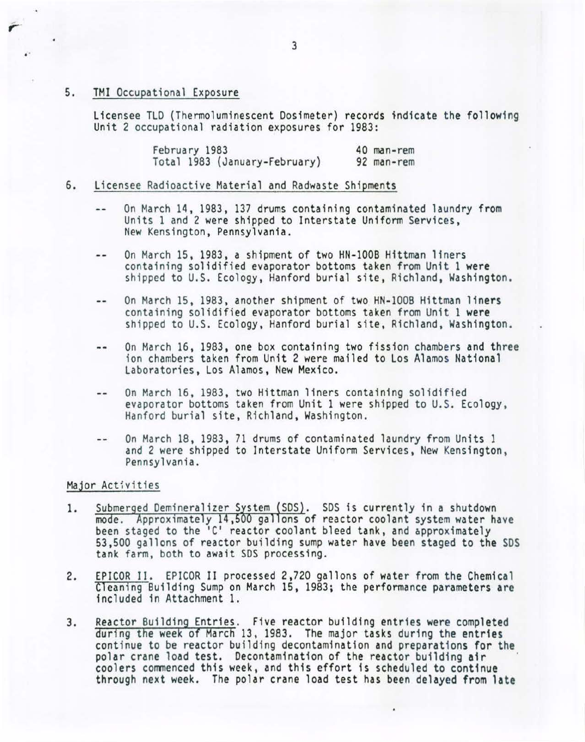## 5. TMI Occupational Exposure

Licensee TLD (Thermoluminescent Dosimeter) records indicate the following Unit 2 occupational radiation exposures for 1983:

> February 1983 Total 1983 (January-February) 40 man-rem 92 man-rem

## 6. Licensee Radioactive Material and Radwaste Shipments

- On March 14, 1983, 137 drums containing contaminated laundry from  $\overline{\phantom{a}}$ Units 1 and 2 were shipped to Interstate Uniform Services, New Kensington, Pennsylvania.
- On March 15, 1983, a shipment of two HN-1008 H1ttman liners  $-$ containing solidified evaporator bottoms taken from Unit 1 were shipped to U.S. Ecology, Hanford burial site, Richland, Washington.
- On March 15, 1983, another shipment of two HN-100B Hittman liners  $-1$ containing solidified evaporator bottoms taken from Unit 1 were shipped to U.S. Ecology, Hanford burial site, Richland, Washington.
- On March 16, 1983, one box containing two fission chambers and three  $-1$ ion chambers taken from Unit 2 were mailed to Los Alamos National Laboratories , Los Alamos, New Mexico.
- On March 16, 1983, two Hittman liners containing solidified  $-1$ evaporator bottoms taken from Unit 1 were shipped to U.S. Ecology, Hanford burial site, Richland, Washington.
- On March 18, 1983, 71 drums of contaminated laundry from Units 1  $-1$ and 2 were shipped to Interstate Uniform Services, New Kensington,<br>Pennsylvania.

#### Major Activities

- 1. Submerged Demineralizer System (SDS). SDS is currently in a shutdown<br>mode. Approximately 14,500 gallons of reactor coolant system water have been staged to the 'C' reactor coolant bleed tank, and approximately 53,500 gallons of reactor building sump water have been staged to the SDS 53,500 gallons of reactor building sump water have been staged to the SDS<br>tank farm, both to await SDS processing.
- 2. EPICOR II. EPICOR II processed 2,720 gallons of water from the Chemical Cleaning Building Sump on March 15, 1983; the performance parameters are included in At tachment 1.
- 3. Reactor Building Entries. Five reactor building entries were completed during the week of March 13, 1983. The major tasks during the entries continue to be reactor building decontamination and preparations for the polar crane load test. Decontamination of the reactor building air coolers commenced this week, and this effort is scheduled to continue through next week. The polar crane load test has been delayed from late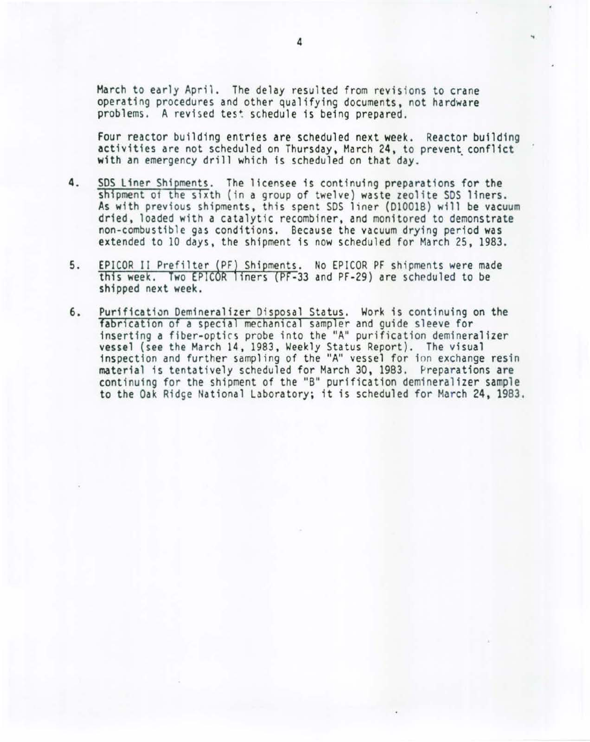March to early April. The delay resulted from revisions to crane operating procedures and other qualifying documents, not hardware problems. A revised test schedule is being prepared.

Four reactor building entries are scheduled next week. Reactor building activities are not scheduled on Thursday, March 24, to prevent conflict with an emergency drill which is scheduled on that day.

- 4. SOS Liner Shipments. The licensee is continuing preparations for the shipment of the sixth (in a group of twelve) waste zeolite SDS liners. As with previous shipments, this spent SDS liner (D10018) will be vacuum dried, loaded with a catalytic recombiner, and monitored to demonstrate non-combustible gas conditions. Because the vacuum drying period was extended to 10 days, the shipment is now scheduled for March 25, 1983.
- EPICOR II Prefilter (PF) Shipments. No EPICOR PF shipments were made 5. this week. Two EPICOR liners (PF-33 and PF-29) are scheduled to be shipped next week.
- 6. Purification Demineralizer Disposal Status. Work is continuing on the fabrication of a special mechanical sampler and quide sleeve for inserting a fiber-optics probe into the "A" purification demineralizer vessel (see the March 14, 1983, Weekly Status Report). The visual inspection and further sampling of the "A'' vessel for ion exchange resin material is tentatively scheduled for March 30, 1983. Preparations are continuing for the shipment of the "B" purification demineralizer sample to the Oak Ridge National Laboratory; it is scheduled for March 24, 1983.

..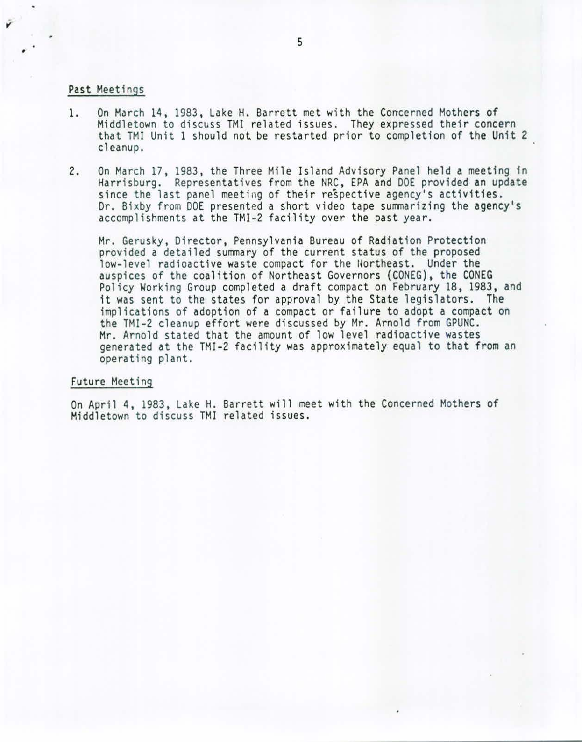#### Past Meetings

- 1. On March 14, 1983, Lake H. Barrett met with the Concerned Mothers of Middletown to discuss TMI related issues. They expressed their concern that TMI Unit 1 should not be restarted prior to completion of the Unit 2 cleanup.
- 2. On March 17, 1983, the Three Mile Island Advisory Panel held a meeting in Harrisburg. Representatives from the NRC, EPA and DOE provided an update since the last panel meeting of their respective agency's activities. Dr. Bixby from DOE presented a short video tape summarizing the agency's accomplishments at the TMI-2 facility over the past year.

Mr. Gerusky, Director, Pennsylvania Bureau of Radiation Protection provided a detailed summary of the current status of the proposed low-level radioactive waste compact for the llortheast. Under the auspices of the coalition of Northeast Governors (CONEG), the CONEG Policy Working Group completed a draft compact on February 18, 1983, and it was sent to the states for approval by the State legislators. The implications of adoption of a compact or failure to adopt a compact on the TMI-2 cleanup effort were discussed by Mr. Arnold from GPUNC . Mr. Arnold stated that the amount of low level radioactive wastes generated at the TMI-2 facility was approximately equal to that from an operating plant.

#### Future Meeting

On April 4, 1983, Lake H. Barrett will meet with the Concerned Mothers of Middletown to discuss TMI related issues.